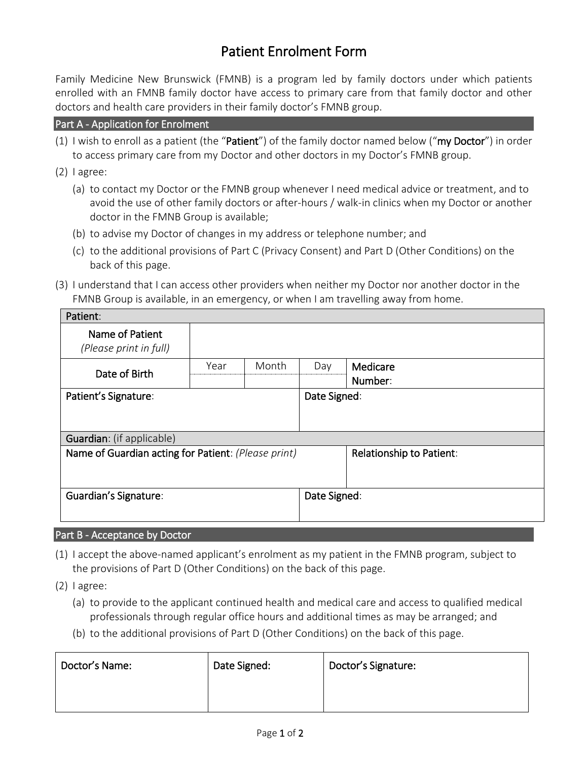# Patient Enrolment Form

Family Medicine New Brunswick (FMNB) is a program led by family doctors under which patients enrolled with an FMNB family doctor have access to primary care from that family doctor and other doctors and health care providers in their family doctor's FMNB group.

#### Part A - Application for Enrolment

- (1) I wish to enroll as a patient (the "Patient") of the family doctor named below ("my Doctor") in order to access primary care from my Doctor and other doctors in my Doctor's FMNB group.
- (2) I agree:
	- (a) to contact my Doctor or the FMNB group whenever I need medical advice or treatment, and to avoid the use of other family doctors or after-hours / walk-in clinics when my Doctor or another doctor in the FMNB Group is available;
	- (b) to advise my Doctor of changes in my address or telephone number; and
	- (c) to the additional provisions of Part C (Privacy Consent) and Part D (Other Conditions) on the back of this page.
- (3) I understand that I can access other providers when neither my Doctor nor another doctor in the FMNB Group is available, in an emergency, or when I am travelling away from home.

| Patient:                                            |      |       |              |                          |  |
|-----------------------------------------------------|------|-------|--------------|--------------------------|--|
| Name of Patient<br>(Please print in full)           |      |       |              |                          |  |
| Date of Birth                                       | Year | Month | Day          | Medicare                 |  |
|                                                     |      |       |              | Number:                  |  |
| Patient's Signature:                                |      |       | Date Signed: |                          |  |
|                                                     |      |       |              |                          |  |
| Guardian: (if applicable)                           |      |       |              |                          |  |
| Name of Guardian acting for Patient: (Please print) |      |       |              | Relationship to Patient: |  |
|                                                     |      |       |              |                          |  |
| Guardian's Signature:                               |      |       | Date Signed: |                          |  |
|                                                     |      |       |              |                          |  |
| <b>The Communication of the Communication</b><br>.  |      |       |              |                          |  |

## Part B - Acceptance by Doctor

(1) I accept the above-named applicant's enrolment as my patient in the FMNB program, subject to the provisions of Part D (Other Conditions) on the back of this page.

(2) I agree:

- (a) to provide to the applicant continued health and medical care and access to qualified medical professionals through regular office hours and additional times as may be arranged; and
- (b) to the additional provisions of Part D (Other Conditions) on the back of this page.

| Doctor's Name: | Date Signed: | Doctor's Signature: |
|----------------|--------------|---------------------|
|                |              |                     |